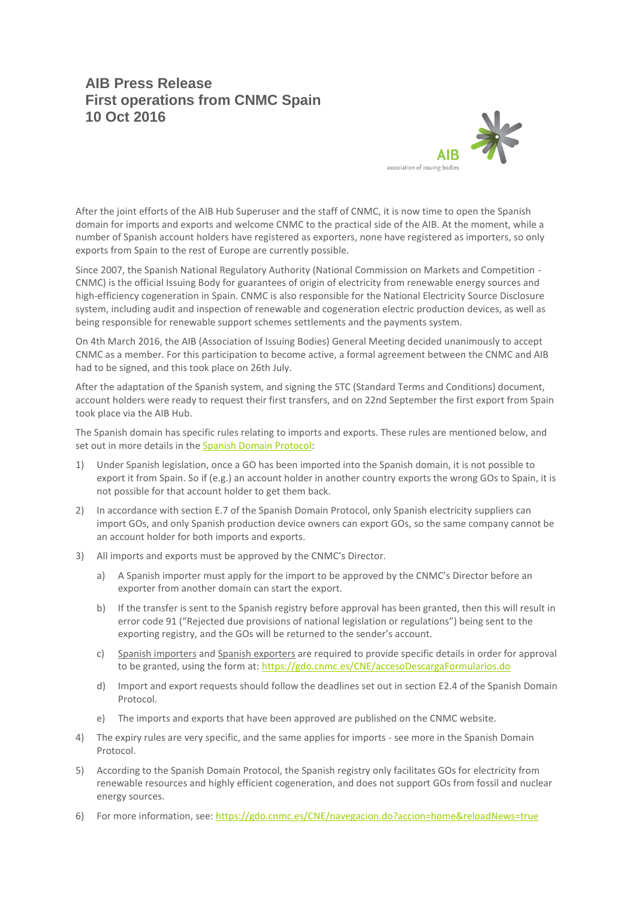## **AIB Press Release First operations from CNMC Spain 10 Oct 2016**



After the joint efforts of the AIB Hub Superuser and the staff of CNMC, it is now time to open the Spanish domain for imports and exports and welcome CNMC to the practical side of the AIB. At the moment, while a number of Spanish account holders have registered as exporters, none have registered as importers, so only exports from Spain to the rest of Europe are currently possible.

Since 2007, the Spanish National Regulatory Authority (National Commission on Markets and Competition - CNMC) is the official Issuing Body for guarantees of origin of electricity from renewable energy sources and high-efficiency cogeneration in Spain. CNMC is also responsible for the National Electricity Source Disclosure system, including audit and inspection of renewable and cogeneration electric production devices, as well as being responsible for renewable support schemes settlements and the payments system.

On 4th March 2016, the AIB (Association of Issuing Bodies) General Meeting decided unanimously to accept CNMC as a member. For this participation to become active, a formal agreement between the CNMC and AIB had to be signed, and this took place on 26th July.

After the adaptation of the Spanish system, and signing the STC (Standard Terms and Conditions) document, account holders were ready to request their first transfers, and on 22nd September the first export from Spain took place via the AIB Hub.

The Spanish domain has specific rules relating to imports and exports. These rules are mentioned below, and set out in more details in the [Spanish Domain Protocol:](http://www.aib-net.org/portal/page/portal/AIB_HOME/FACTS/AIB%20Members/Domain_Protocols/Domain%20Protocol%20EECS7%20-%20%20SPAIN%20%20-%2018%20Feb%202016%20v2%20-%20clean.pdf)

- 1) Under Spanish legislation, once a GO has been imported into the Spanish domain, it is not possible to export it from Spain. So if (e.g.) an account holder in another country exports the wrong GOs to Spain, it is not possible for that account holder to get them back.
- 2) In accordance with section E.7 of the Spanish Domain Protocol, only Spanish electricity suppliers can import GOs, and only Spanish production device owners can export GOs, so the same company cannot be an account holder for both imports and exports.
- 3) All imports and exports must be approved by the CNMC's Director.
	- a) A Spanish importer must apply for the import to be approved by the CNMC's Director before an exporter from another domain can start the export.
	- b) If the transfer is sent to the Spanish registry before approval has been granted, then this will result in error code 91 ("Rejected due provisions of national legislation or regulations") being sent to the exporting registry, and the GOs will be returned to the sender's account.
	- c) Spanish importers and Spanish exporters are required to provide specific details in order for approval to be granted, using the form at:<https://gdo.cnmc.es/CNE/accesoDescargaFormularios.do>
	- d) Import and export requests should follow the deadlines set out in section E2.4 of the Spanish Domain Protocol.
	- e) The imports and exports that have been approved are published on the CNMC website.
- 4) The expiry rules are very specific, and the same applies for imports see more in the Spanish Domain Protocol.
- 5) According to the Spanish Domain Protocol, the Spanish registry only facilitates GOs for electricity from renewable resources and highly efficient cogeneration, and does not support GOs from fossil and nuclear energy sources.
- 6) For more information, see:<https://gdo.cnmc.es/CNE/navegacion.do?accion=home&reloadNews=true>